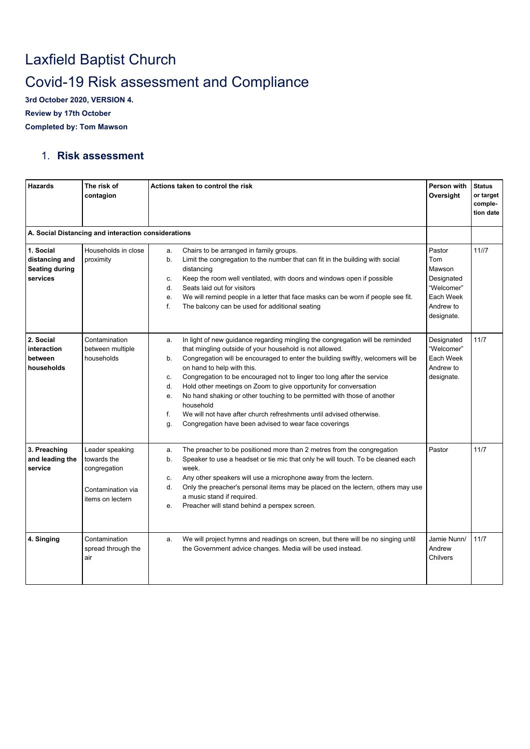## Laxfield Baptist Church Covid-19 Risk assessment and Compliance

**3rd October 2020, VERSION 4.**

**Review by 17th October**

**Completed by: Tom Mawson**

## 1. **Risk assessment**

| Hazards                                                          | The risk of<br>contagion                                                                | Actions taken to control the risk                                                                                                                                                                                                                                                                                                                                                                                                                                                                                                                                                                                                                                          | Person with<br>Oversight                                                                    | <b>Status</b><br>or target<br>comple-<br>tion date |
|------------------------------------------------------------------|-----------------------------------------------------------------------------------------|----------------------------------------------------------------------------------------------------------------------------------------------------------------------------------------------------------------------------------------------------------------------------------------------------------------------------------------------------------------------------------------------------------------------------------------------------------------------------------------------------------------------------------------------------------------------------------------------------------------------------------------------------------------------------|---------------------------------------------------------------------------------------------|----------------------------------------------------|
|                                                                  | A. Social Distancing and interaction considerations                                     |                                                                                                                                                                                                                                                                                                                                                                                                                                                                                                                                                                                                                                                                            |                                                                                             |                                                    |
| 1. Social<br>distancing and<br><b>Seating during</b><br>services | Households in close<br>proximity                                                        | Chairs to be arranged in family groups.<br>a.<br>b.<br>Limit the congregation to the number that can fit in the building with social<br>distancing<br>Keep the room well ventilated, with doors and windows open if possible<br>c.<br>Seats laid out for visitors<br>d.<br>We will remind people in a letter that face masks can be worn if people see fit.<br>е.<br>f.<br>The balcony can be used for additional seating                                                                                                                                                                                                                                                  | Pastor<br>Tom<br>Mawson<br>Designated<br>"Welcomer"<br>Each Week<br>Andrew to<br>designate. | 11/7                                               |
| 2. Social<br>interaction<br>between<br>households                | Contamination<br>between multiple<br>households                                         | In light of new guidance regarding mingling the congregation will be reminded<br>a.<br>that mingling outside of your household is not allowed.<br>Congregation will be encouraged to enter the building swiftly, welcomers will be<br>b.<br>on hand to help with this.<br>Congregation to be encouraged not to linger too long after the service<br>c.<br>Hold other meetings on Zoom to give opportunity for conversation<br>d.<br>No hand shaking or other touching to be permitted with those of another<br>e.<br>household<br>We will not have after church refreshments until advised otherwise.<br>f.<br>Congregation have been advised to wear face coverings<br>g. | Designated<br>"Welcomer"<br>Each Week<br>Andrew to<br>designate.                            | 11/7                                               |
| 3. Preaching<br>and leading the<br>service                       | Leader speaking<br>towards the<br>congregation<br>Contamination via<br>items on lectern | The preacher to be positioned more than 2 metres from the congregation<br>a.<br>Speaker to use a headset or tie mic that only he will touch. To be cleaned each<br>b.<br>week.<br>Any other speakers will use a microphone away from the lectern.<br>c.<br>Only the preacher's personal items may be placed on the lectern, others may use<br>d.<br>a music stand if required.<br>Preacher will stand behind a perspex screen.<br>e.                                                                                                                                                                                                                                       | Pastor                                                                                      | 11/7                                               |
| 4. Singing                                                       | Contamination<br>spread through the<br>air                                              | We will project hymns and readings on screen, but there will be no singing until<br>a.<br>the Government advice changes. Media will be used instead.                                                                                                                                                                                                                                                                                                                                                                                                                                                                                                                       | Jamie Nunn/<br>Andrew<br>Chilvers                                                           | 11/7                                               |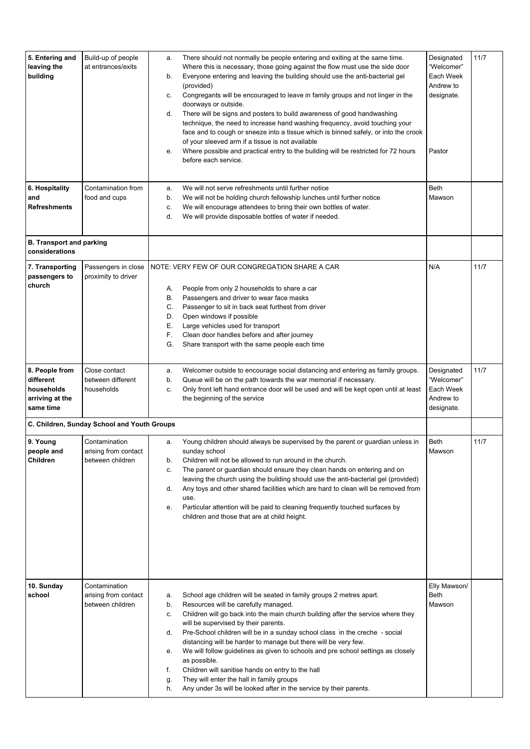| 5. Entering and<br>leaving the<br>building                                | Build-up of people<br>at entrances/exits                  | There should not normally be people entering and exiting at the same time.<br>a.<br>Where this is necessary, those going against the flow must use the side door<br>Everyone entering and leaving the building should use the anti-bacterial gel<br>b.<br>(provided)<br>Congregants will be encouraged to leave in family groups and not linger in the<br>c.<br>doorways or outside.<br>There will be signs and posters to build awareness of good handwashing<br>d.<br>technique, the need to increase hand washing frequency, avoid touching your<br>face and to cough or sneeze into a tissue which is binned safely, or into the crook<br>of your sleeved arm if a tissue is not available<br>Where possible and practical entry to the building will be restricted for 72 hours<br>е.<br>before each service. | Designated<br>"Welcomer"<br>Each Week<br>Andrew to<br>designate.<br>Pastor | 11/7 |
|---------------------------------------------------------------------------|-----------------------------------------------------------|--------------------------------------------------------------------------------------------------------------------------------------------------------------------------------------------------------------------------------------------------------------------------------------------------------------------------------------------------------------------------------------------------------------------------------------------------------------------------------------------------------------------------------------------------------------------------------------------------------------------------------------------------------------------------------------------------------------------------------------------------------------------------------------------------------------------|----------------------------------------------------------------------------|------|
| 6. Hospitality<br>and<br><b>Refreshments</b>                              | Contamination from<br>food and cups                       | We will not serve refreshments until further notice<br>a.<br>We will not be holding church fellowship lunches until further notice<br>b.<br>We will encourage attendees to bring their own bottles of water.<br>c.<br>We will provide disposable bottles of water if needed.<br>d.                                                                                                                                                                                                                                                                                                                                                                                                                                                                                                                                 | Beth<br>Mawson                                                             |      |
| <b>B. Transport and parking</b><br>considerations                         |                                                           |                                                                                                                                                                                                                                                                                                                                                                                                                                                                                                                                                                                                                                                                                                                                                                                                                    |                                                                            |      |
| 7. Transporting<br>passengers to<br>church                                | Passengers in close<br>proximity to driver                | NOTE: VERY FEW OF OUR CONGREGATION SHARE A CAR<br>People from only 2 households to share a car<br>А.<br>Passengers and driver to wear face masks<br>В.<br>Passenger to sit in back seat furthest from driver<br>С.<br>Open windows if possible<br>D.<br>Е.<br>Large vehicles used for transport<br>F.<br>Clean door handles before and after journey<br>G.<br>Share transport with the same people each time                                                                                                                                                                                                                                                                                                                                                                                                       | N/A                                                                        | 11/7 |
| 8. People from<br>different<br>households<br>arriving at the<br>same time | Close contact<br>between different<br>households          | Welcomer outside to encourage social distancing and entering as family groups.<br>a.<br>Queue will be on the path towards the war memorial if necessary.<br>b.<br>Only front left hand entrance door will be used and will be kept open until at least<br>c.<br>the beginning of the service                                                                                                                                                                                                                                                                                                                                                                                                                                                                                                                       | Designated<br>"Welcomer"<br>Each Week<br>Andrew to<br>designate.           | 11/7 |
|                                                                           | C. Children, Sunday School and Youth Groups               |                                                                                                                                                                                                                                                                                                                                                                                                                                                                                                                                                                                                                                                                                                                                                                                                                    |                                                                            |      |
| 9. Young<br>people and<br>Children                                        | Contamination<br>arising from contact<br>between children | Young children should always be supervised by the parent or guardian unless in<br>a.<br>sunday school<br>Children will not be allowed to run around in the church.<br>b.<br>The parent or guardian should ensure they clean hands on entering and on<br>c.<br>leaving the church using the building should use the anti-bacterial gel (provided)<br>Any toys and other shared facilities which are hard to clean will be removed from<br>d.<br>use.<br>Particular attention will be paid to cleaning frequently touched surfaces by<br>е.<br>children and those that are at child height.                                                                                                                                                                                                                          | Beth<br>Mawson                                                             | 11/7 |
| 10. Sunday<br>school                                                      | Contamination<br>arising from contact<br>between children | School age children will be seated in family groups 2 metres apart.<br>a.<br>Resources will be carefully managed.<br>b.<br>Children will go back into the main church building after the service where they<br>c.<br>will be supervised by their parents.<br>Pre-School children will be in a sunday school class in the creche - social<br>d.<br>distancing will be harder to manage but there will be very few.<br>We will follow guidelines as given to schools and pre school settings as closely<br>е.<br>as possible.<br>Children will sanitise hands on entry to the hall<br>f.<br>They will enter the hall in family groups<br>g.<br>Any under 3s will be looked after in the service by their parents.<br>h.                                                                                              | Elly Mawson/<br>Beth<br>Mawson                                             |      |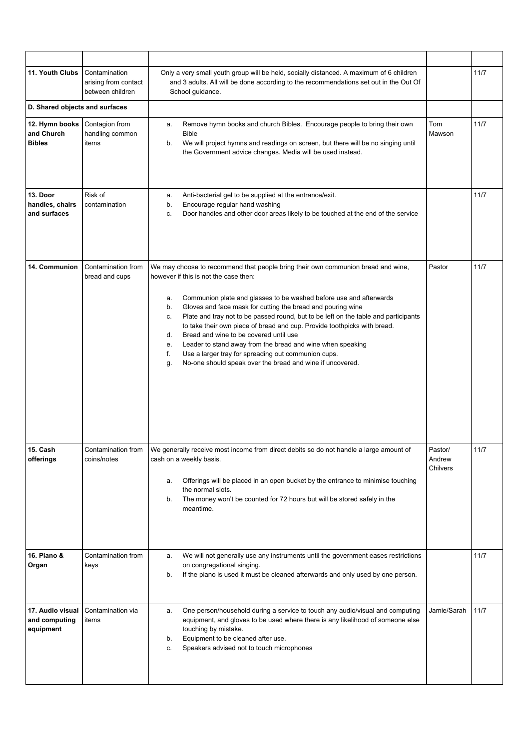| 11. Youth Clubs                                | Contamination<br>arising from contact<br>between children | Only a very small youth group will be held, socially distanced. A maximum of 6 children<br>and 3 adults. All will be done according to the recommendations set out in the Out Of<br>School guidance.                                                                                                                                                                                                                                                                                                                                                                                                                                                                                                    |                               | 11/7 |
|------------------------------------------------|-----------------------------------------------------------|---------------------------------------------------------------------------------------------------------------------------------------------------------------------------------------------------------------------------------------------------------------------------------------------------------------------------------------------------------------------------------------------------------------------------------------------------------------------------------------------------------------------------------------------------------------------------------------------------------------------------------------------------------------------------------------------------------|-------------------------------|------|
| D. Shared objects and surfaces                 |                                                           |                                                                                                                                                                                                                                                                                                                                                                                                                                                                                                                                                                                                                                                                                                         |                               |      |
| 12. Hymn books<br>and Church<br><b>Bibles</b>  | Contagion from<br>handling common<br>items                | Remove hymn books and church Bibles. Encourage people to bring their own<br>a.<br><b>Bible</b><br>We will project hymns and readings on screen, but there will be no singing until<br>b.<br>the Government advice changes. Media will be used instead.                                                                                                                                                                                                                                                                                                                                                                                                                                                  | Tom<br>Mawson                 | 11/7 |
| 13. Door<br>handles, chairs<br>and surfaces    | Risk of<br>contamination                                  | Anti-bacterial gel to be supplied at the entrance/exit.<br>a.<br>Encourage regular hand washing<br>b.<br>Door handles and other door areas likely to be touched at the end of the service<br>c.                                                                                                                                                                                                                                                                                                                                                                                                                                                                                                         |                               | 11/7 |
| 14. Communion                                  | Contamination from<br>bread and cups                      | We may choose to recommend that people bring their own communion bread and wine,<br>however if this is not the case then:<br>Communion plate and glasses to be washed before use and afterwards<br>a.<br>Gloves and face mask for cutting the bread and pouring wine<br>b.<br>Plate and tray not to be passed round, but to be left on the table and participants<br>c.<br>to take their own piece of bread and cup. Provide toothpicks with bread.<br>Bread and wine to be covered until use<br>d.<br>Leader to stand away from the bread and wine when speaking<br>е.<br>f.<br>Use a larger tray for spreading out communion cups.<br>No-one should speak over the bread and wine if uncovered.<br>g. | Pastor                        | 11/7 |
| 15. Cash<br>offerings                          | Contamination from<br>coins/notes                         | We generally receive most income from direct debits so do not handle a large amount of<br>cash on a weekly basis.<br>Offerings will be placed in an open bucket by the entrance to minimise touching<br>a.<br>the normal slots.<br>The money won't be counted for 72 hours but will be stored safely in the<br>b.<br>meantime.                                                                                                                                                                                                                                                                                                                                                                          | Pastor/<br>Andrew<br>Chilvers | 11/7 |
| 16. Piano &<br>Organ                           | Contamination from<br>keys                                | We will not generally use any instruments until the government eases restrictions<br>a.<br>on congregational singing.<br>If the piano is used it must be cleaned afterwards and only used by one person.<br>b.                                                                                                                                                                                                                                                                                                                                                                                                                                                                                          |                               | 11/7 |
| 17. Audio visual<br>and computing<br>equipment | Contamination via<br>items                                | One person/household during a service to touch any audio/visual and computing<br>а.<br>equipment, and gloves to be used where there is any likelihood of someone else<br>touching by mistake.<br>Equipment to be cleaned after use.<br>b.<br>Speakers advised not to touch microphones<br>c.                                                                                                                                                                                                                                                                                                                                                                                                            | Jamie/Sarah                   | 11/7 |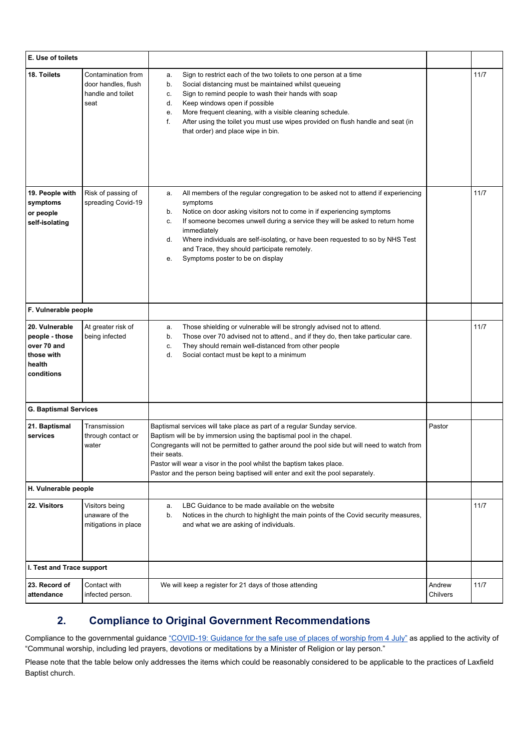| E. Use of toilets                                                                     |                                                                        |                                                                                                                                                                                                                                                                                                                                                                                                                                                                            |                    |      |
|---------------------------------------------------------------------------------------|------------------------------------------------------------------------|----------------------------------------------------------------------------------------------------------------------------------------------------------------------------------------------------------------------------------------------------------------------------------------------------------------------------------------------------------------------------------------------------------------------------------------------------------------------------|--------------------|------|
| 18. Toilets                                                                           | Contamination from<br>door handles, flush<br>handle and toilet<br>seat | Sign to restrict each of the two toilets to one person at a time<br>a.<br>Social distancing must be maintained whilst queueing<br>b.<br>Sign to remind people to wash their hands with soap<br>c.<br>Keep windows open if possible<br>d.<br>More frequent cleaning, with a visible cleaning schedule.<br>е.<br>After using the toilet you must use wipes provided on flush handle and seat (in<br>f.<br>that order) and place wipe in bin.                                 |                    | 11/7 |
| 19. People with<br>symptoms<br>or people<br>self-isolating                            | Risk of passing of<br>spreading Covid-19                               | All members of the regular congregation to be asked not to attend if experiencing<br>a.<br>symptoms<br>Notice on door asking visitors not to come in if experiencing symptoms<br>b.<br>If someone becomes unwell during a service they will be asked to return home<br>c.<br>immediately<br>Where individuals are self-isolating, or have been requested to so by NHS Test<br>d.<br>and Trace, they should participate remotely.<br>Symptoms poster to be on display<br>е. |                    | 11/7 |
| F. Vulnerable people                                                                  |                                                                        |                                                                                                                                                                                                                                                                                                                                                                                                                                                                            |                    |      |
| 20. Vulnerable<br>people - those<br>over 70 and<br>those with<br>health<br>conditions | At greater risk of<br>being infected                                   | Those shielding or vulnerable will be strongly advised not to attend.<br>a.<br>Those over 70 advised not to attend., and if they do, then take particular care.<br>b.<br>They should remain well-distanced from other people<br>c.<br>Social contact must be kept to a minimum<br>d.                                                                                                                                                                                       |                    | 11/7 |
| <b>G. Baptismal Services</b>                                                          |                                                                        |                                                                                                                                                                                                                                                                                                                                                                                                                                                                            |                    |      |
| 21. Baptismal<br>services                                                             | Transmission<br>through contact or<br>water                            | Baptismal services will take place as part of a regular Sunday service.<br>Baptism will be by immersion using the baptismal pool in the chapel.<br>Congregants will not be permitted to gather around the pool side but will need to watch from<br>their seats.<br>Pastor will wear a visor in the pool whilst the baptism takes place.<br>Pastor and the person being baptised will enter and exit the pool separately.                                                   | Pastor             |      |
| H. Vulnerable people                                                                  |                                                                        |                                                                                                                                                                                                                                                                                                                                                                                                                                                                            |                    |      |
| 22. Visitors                                                                          | Visitors being<br>unaware of the<br>mitigations in place               | LBC Guidance to be made available on the website<br>a.<br>Notices in the church to highlight the main points of the Covid security measures,<br>b.<br>and what we are asking of individuals.                                                                                                                                                                                                                                                                               |                    | 11/7 |
| I. Test and Trace support                                                             |                                                                        |                                                                                                                                                                                                                                                                                                                                                                                                                                                                            |                    |      |
| 23. Record of<br>attendance                                                           | Contact with<br>infected person.                                       | We will keep a register for 21 days of those attending                                                                                                                                                                                                                                                                                                                                                                                                                     | Andrew<br>Chilvers | 11/7 |

## **2. Compliance to Original Government Recommendations**

Compliance to the governmental guidance ["COVID-19:](https://www.gov.uk/government/publications/covid-19-guidance-for-the-safe-use-of-places-of-worship-from-4-july/covid-19-guidance-for-the-safe-use-of-places-of-worship-from-4-july) Guidance for the safe use of places of worship from 4 July" as applied to the activity of "Communal worship, including led prayers, devotions or meditations by a Minister of Religion or lay person."

Please note that the table below only addresses the items which could be reasonably considered to be applicable to the practices of Laxfield Baptist church.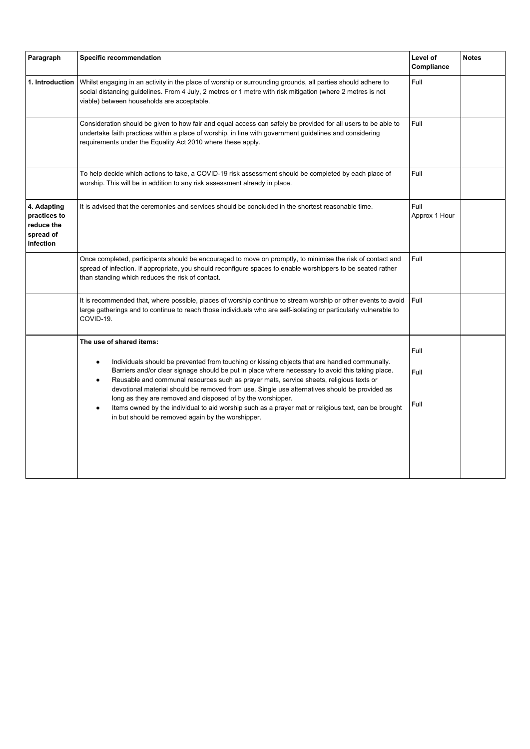| Paragraph                                                           | <b>Specific recommendation</b>                                                                                                                                                                                                                                                                                                                                                                                          | Level of<br>Compliance | <b>Notes</b> |
|---------------------------------------------------------------------|-------------------------------------------------------------------------------------------------------------------------------------------------------------------------------------------------------------------------------------------------------------------------------------------------------------------------------------------------------------------------------------------------------------------------|------------------------|--------------|
| 1. Introduction                                                     | Whilst engaging in an activity in the place of worship or surrounding grounds, all parties should adhere to<br>social distancing guidelines. From 4 July, 2 metres or 1 metre with risk mitigation (where 2 metres is not<br>viable) between households are acceptable.                                                                                                                                                 | Full                   |              |
|                                                                     | Consideration should be given to how fair and equal access can safely be provided for all users to be able to<br>undertake faith practices within a place of worship, in line with government guidelines and considering<br>requirements under the Equality Act 2010 where these apply.                                                                                                                                 | Full                   |              |
|                                                                     | To help decide which actions to take, a COVID-19 risk assessment should be completed by each place of<br>worship. This will be in addition to any risk assessment already in place.                                                                                                                                                                                                                                     | Full                   |              |
| 4. Adapting<br>practices to<br>reduce the<br>spread of<br>infection | It is advised that the ceremonies and services should be concluded in the shortest reasonable time.                                                                                                                                                                                                                                                                                                                     | Full<br>Approx 1 Hour  |              |
|                                                                     | Once completed, participants should be encouraged to move on promptly, to minimise the risk of contact and<br>spread of infection. If appropriate, you should reconfigure spaces to enable worshippers to be seated rather<br>than standing which reduces the risk of contact.                                                                                                                                          | Full                   |              |
|                                                                     | It is recommended that, where possible, places of worship continue to stream worship or other events to avoid<br>large gatherings and to continue to reach those individuals who are self-isolating or particularly vulnerable to<br>COVID-19.                                                                                                                                                                          |                        |              |
|                                                                     | The use of shared items:                                                                                                                                                                                                                                                                                                                                                                                                | Full                   |              |
|                                                                     | Individuals should be prevented from touching or kissing objects that are handled communally.<br>$\bullet$<br>Barriers and/or clear signage should be put in place where necessary to avoid this taking place.<br>Reusable and communal resources such as prayer mats, service sheets, religious texts or<br>$\bullet$<br>devotional material should be removed from use. Single use alternatives should be provided as | Full                   |              |
|                                                                     | long as they are removed and disposed of by the worshipper.<br>Items owned by the individual to aid worship such as a prayer mat or religious text, can be brought<br>$\bullet$<br>in but should be removed again by the worshipper.                                                                                                                                                                                    | Full                   |              |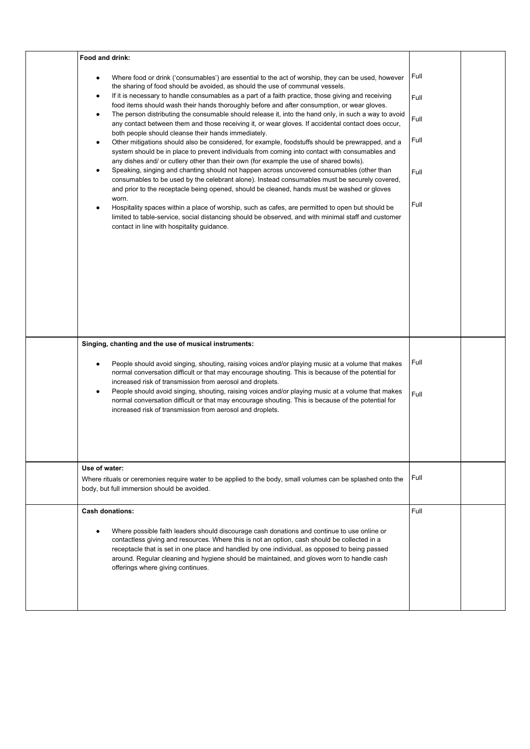| Food and drink:                                                                                                                                                                                                                                                                                                                                                                                                                |              |  |
|--------------------------------------------------------------------------------------------------------------------------------------------------------------------------------------------------------------------------------------------------------------------------------------------------------------------------------------------------------------------------------------------------------------------------------|--------------|--|
| Where food or drink ('consumables') are essential to the act of worship, they can be used, however<br>$\bullet$<br>the sharing of food should be avoided, as should the use of communal vessels.<br>If it is necessary to handle consumables as a part of a faith practice, those giving and receiving<br>٠                                                                                                                    | Full<br>Full |  |
| food items should wash their hands thoroughly before and after consumption, or wear gloves.<br>The person distributing the consumable should release it, into the hand only, in such a way to avoid<br>$\bullet$<br>any contact between them and those receiving it, or wear gloves. If accidental contact does occur,                                                                                                         | Full         |  |
| both people should cleanse their hands immediately.<br>Other mitigations should also be considered, for example, foodstuffs should be prewrapped, and a<br>$\bullet$<br>system should be in place to prevent individuals from coming into contact with consumables and                                                                                                                                                         | Full         |  |
| any dishes and/ or cutlery other than their own (for example the use of shared bowls).<br>Speaking, singing and chanting should not happen across uncovered consumables (other than<br>$\bullet$<br>consumables to be used by the celebrant alone). Instead consumables must be securely covered,<br>and prior to the receptacle being opened, should be cleaned, hands must be washed or gloves                               | Full         |  |
| worn.<br>Hospitality spaces within a place of worship, such as cafes, are permitted to open but should be<br>limited to table-service, social distancing should be observed, and with minimal staff and customer<br>contact in line with hospitality guidance.                                                                                                                                                                 | Full         |  |
|                                                                                                                                                                                                                                                                                                                                                                                                                                |              |  |
|                                                                                                                                                                                                                                                                                                                                                                                                                                |              |  |
|                                                                                                                                                                                                                                                                                                                                                                                                                                |              |  |
| Singing, chanting and the use of musical instruments:                                                                                                                                                                                                                                                                                                                                                                          |              |  |
| People should avoid singing, shouting, raising voices and/or playing music at a volume that makes<br>$\bullet$<br>normal conversation difficult or that may encourage shouting. This is because of the potential for<br>increased risk of transmission from aerosol and droplets.                                                                                                                                              | Full         |  |
| People should avoid singing, shouting, raising voices and/or playing music at a volume that makes<br>$\bullet$<br>normal conversation difficult or that may encourage shouting. This is because of the potential for<br>increased risk of transmission from aerosol and droplets.                                                                                                                                              | Full         |  |
|                                                                                                                                                                                                                                                                                                                                                                                                                                |              |  |
| Use of water:<br>Where rituals or ceremonies require water to be applied to the body, small volumes can be splashed onto the<br>body, but full immersion should be avoided.                                                                                                                                                                                                                                                    | Full         |  |
| <b>Cash donations:</b>                                                                                                                                                                                                                                                                                                                                                                                                         | Full         |  |
| Where possible faith leaders should discourage cash donations and continue to use online or<br>contactless giving and resources. Where this is not an option, cash should be collected in a<br>receptacle that is set in one place and handled by one individual, as opposed to being passed<br>around. Regular cleaning and hygiene should be maintained, and gloves worn to handle cash<br>offerings where giving continues. |              |  |
|                                                                                                                                                                                                                                                                                                                                                                                                                                |              |  |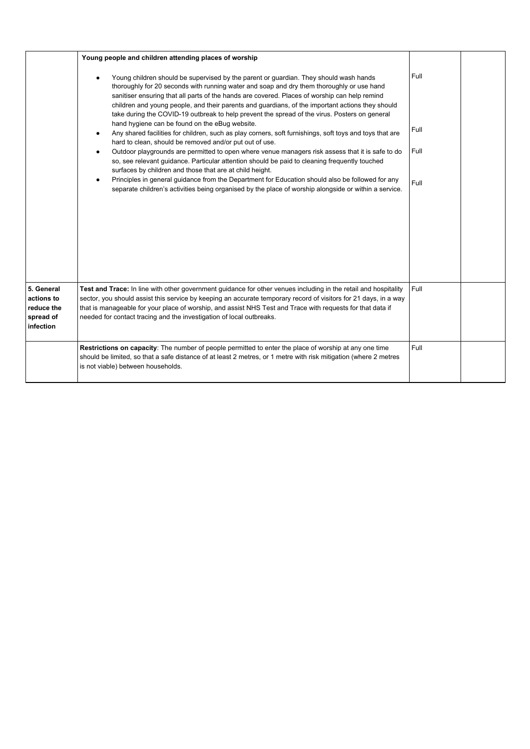|                                                                  | Young people and children attending places of worship                                                                                                                                                                                                                                                                                                                                                                                                                                                                                                                                                                                                                                                                                                                                                                                                                                                                                                                                                                                                                                                                                                                                          |                              |  |
|------------------------------------------------------------------|------------------------------------------------------------------------------------------------------------------------------------------------------------------------------------------------------------------------------------------------------------------------------------------------------------------------------------------------------------------------------------------------------------------------------------------------------------------------------------------------------------------------------------------------------------------------------------------------------------------------------------------------------------------------------------------------------------------------------------------------------------------------------------------------------------------------------------------------------------------------------------------------------------------------------------------------------------------------------------------------------------------------------------------------------------------------------------------------------------------------------------------------------------------------------------------------|------------------------------|--|
|                                                                  | Young children should be supervised by the parent or guardian. They should wash hands<br>thoroughly for 20 seconds with running water and soap and dry them thoroughly or use hand<br>sanitiser ensuring that all parts of the hands are covered. Places of worship can help remind<br>children and young people, and their parents and guardians, of the important actions they should<br>take during the COVID-19 outbreak to help prevent the spread of the virus. Posters on general<br>hand hygiene can be found on the eBug website.<br>Any shared facilities for children, such as play corners, soft furnishings, soft toys and toys that are<br>hard to clean, should be removed and/or put out of use.<br>Outdoor playgrounds are permitted to open where venue managers risk assess that it is safe to do<br>so, see relevant guidance. Particular attention should be paid to cleaning frequently touched<br>surfaces by children and those that are at child height.<br>Principles in general guidance from the Department for Education should also be followed for any<br>separate children's activities being organised by the place of worship alongside or within a service. | Full<br>Full<br>Full<br>Full |  |
| 5. General<br>actions to<br>reduce the<br>spread of<br>infection | Test and Trace: In line with other government guidance for other venues including in the retail and hospitality<br>sector, you should assist this service by keeping an accurate temporary record of visitors for 21 days, in a way<br>that is manageable for your place of worship, and assist NHS Test and Trace with requests for that data if<br>needed for contact tracing and the investigation of local outbreaks.                                                                                                                                                                                                                                                                                                                                                                                                                                                                                                                                                                                                                                                                                                                                                                      | Full                         |  |
|                                                                  | Restrictions on capacity: The number of people permitted to enter the place of worship at any one time<br>should be limited, so that a safe distance of at least 2 metres, or 1 metre with risk mitigation (where 2 metres<br>is not viable) between households.                                                                                                                                                                                                                                                                                                                                                                                                                                                                                                                                                                                                                                                                                                                                                                                                                                                                                                                               | Full                         |  |
|                                                                  |                                                                                                                                                                                                                                                                                                                                                                                                                                                                                                                                                                                                                                                                                                                                                                                                                                                                                                                                                                                                                                                                                                                                                                                                |                              |  |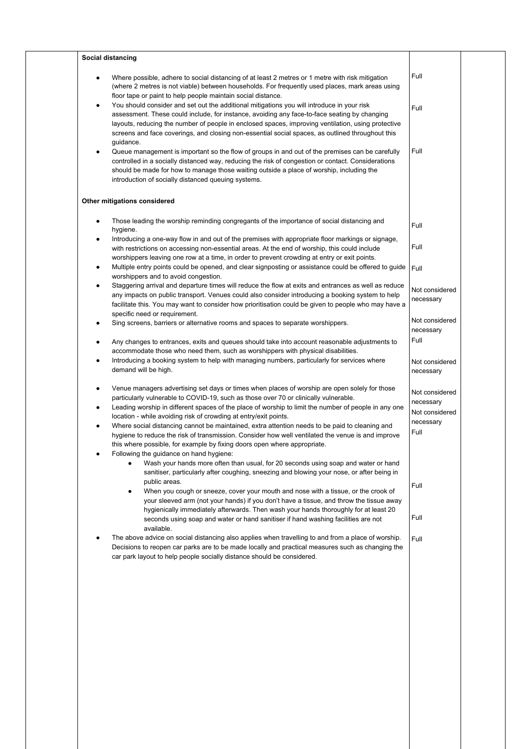| Full<br>Where possible, adhere to social distancing of at least 2 metres or 1 metre with risk mitigation<br>(where 2 metres is not viable) between households. For frequently used places, mark areas using<br>floor tape or paint to help people maintain social distance.<br>You should consider and set out the additional mitigations you will introduce in your risk<br>Full<br>assessment. These could include, for instance, avoiding any face-to-face seating by changing<br>layouts, reducing the number of people in enclosed spaces, improving ventilation, using protective<br>screens and face coverings, and closing non-essential social spaces, as outlined throughout this<br>guidance.<br>Full<br>Queue management is important so the flow of groups in and out of the premises can be carefully<br>٠<br>controlled in a socially distanced way, reducing the risk of congestion or contact. Considerations<br>should be made for how to manage those waiting outside a place of worship, including the<br>introduction of socially distanced queuing systems.<br>Other mitigations considered<br>Those leading the worship reminding congregants of the importance of social distancing and<br>$\bullet$<br>Full<br>hygiene.<br>Introducing a one-way flow in and out of the premises with appropriate floor markings or signage,<br>٠<br>Full<br>with restrictions on accessing non-essential areas. At the end of worship, this could include<br>worshippers leaving one row at a time, in order to prevent crowding at entry or exit points.<br>Multiple entry points could be opened, and clear signposting or assistance could be offered to guide<br>٠<br>Full<br>worshippers and to avoid congestion.<br>Staggering arrival and departure times will reduce the flow at exits and entrances as well as reduce<br>any impacts on public transport. Venues could also consider introducing a booking system to help<br>necessary<br>facilitate this. You may want to consider how prioritisation could be given to people who may have a<br>specific need or requirement.<br>Sing screens, barriers or alternative rooms and spaces to separate worshippers.<br>necessary<br>Full<br>Any changes to entrances, exits and queues should take into account reasonable adjustments to<br>٠<br>accommodate those who need them, such as worshippers with physical disabilities.<br>Introducing a booking system to help with managing numbers, particularly for services where<br>٠<br>demand will be high.<br>necessary<br>Venue managers advertising set days or times when places of worship are open solely for those<br>٠<br>particularly vulnerable to COVID-19, such as those over 70 or clinically vulnerable.<br>necessary<br>Leading worship in different spaces of the place of worship to limit the number of people in any one<br>٠<br>location - while avoiding risk of crowding at entry/exit points.<br>necessary<br>Where social distancing cannot be maintained, extra attention needs to be paid to cleaning and<br>٠<br>Full<br>hygiene to reduce the risk of transmission. Consider how well ventilated the venue is and improve<br>this where possible, for example by fixing doors open where appropriate.<br>Following the guidance on hand hygiene:<br>Wash your hands more often than usual, for 20 seconds using soap and water or hand<br>sanitiser, particularly after coughing, sneezing and blowing your nose, or after being in<br>public areas.<br>Full<br>When you cough or sneeze, cover your mouth and nose with a tissue, or the crook of<br>your sleeved arm (not your hands) if you don't have a tissue, and throw the tissue away<br>hygienically immediately afterwards. Then wash your hands thoroughly for at least 20<br>Full<br>seconds using soap and water or hand sanitiser if hand washing facilities are not<br>available.<br>The above advice on social distancing also applies when travelling to and from a place of worship.<br>Full<br>Decisions to reopen car parks are to be made locally and practical measures such as changing the<br>car park layout to help people socially distance should be considered. | Social distancing |  |
|-----------------------------------------------------------------------------------------------------------------------------------------------------------------------------------------------------------------------------------------------------------------------------------------------------------------------------------------------------------------------------------------------------------------------------------------------------------------------------------------------------------------------------------------------------------------------------------------------------------------------------------------------------------------------------------------------------------------------------------------------------------------------------------------------------------------------------------------------------------------------------------------------------------------------------------------------------------------------------------------------------------------------------------------------------------------------------------------------------------------------------------------------------------------------------------------------------------------------------------------------------------------------------------------------------------------------------------------------------------------------------------------------------------------------------------------------------------------------------------------------------------------------------------------------------------------------------------------------------------------------------------------------------------------------------------------------------------------------------------------------------------------------------------------------------------------------------------------------------------------------------------------------------------------------------------------------------------------------------------------------------------------------------------------------------------------------------------------------------------------------------------------------------------------------------------------------------------------------------------------------------------------------------------------------------------------------------------------------------------------------------------------------------------------------------------------------------------------------------------------------------------------------------------------------------------------------------------------------------------------------------------------------------------------------------------------------------------------------------------------------------------------------------------------------------------------------------------------------------------------------------------------------------------------------------------------------------------------------------------------------------------------------------------------------------------------------------------------------------------------------------------------------------------------------------------------------------------------------------------------------------------------------------------------------------------------------------------------------------------------------------------------------------------------------------------------------------------------------------------------------------------------------------------------------------------------------------------------------------------------------------------------------------------------------------------------------------------------------------------------------------------------------------------------------------------------------------------------------------------------------------------------------------------------------------------------------------------------------------------------------------------------------------------------------------------------------------------------------------------------------------------------------------------------------------------------------|-------------------|--|
| Not considered<br>Not considered<br>Not considered<br>Not considered<br>Not considered                                                                                                                                                                                                                                                                                                                                                                                                                                                                                                                                                                                                                                                                                                                                                                                                                                                                                                                                                                                                                                                                                                                                                                                                                                                                                                                                                                                                                                                                                                                                                                                                                                                                                                                                                                                                                                                                                                                                                                                                                                                                                                                                                                                                                                                                                                                                                                                                                                                                                                                                                                                                                                                                                                                                                                                                                                                                                                                                                                                                                                                                                                                                                                                                                                                                                                                                                                                                                                                                                                                                                                                                                                                                                                                                                                                                                                                                                                                                                                                                                                                                                                        |                   |  |
|                                                                                                                                                                                                                                                                                                                                                                                                                                                                                                                                                                                                                                                                                                                                                                                                                                                                                                                                                                                                                                                                                                                                                                                                                                                                                                                                                                                                                                                                                                                                                                                                                                                                                                                                                                                                                                                                                                                                                                                                                                                                                                                                                                                                                                                                                                                                                                                                                                                                                                                                                                                                                                                                                                                                                                                                                                                                                                                                                                                                                                                                                                                                                                                                                                                                                                                                                                                                                                                                                                                                                                                                                                                                                                                                                                                                                                                                                                                                                                                                                                                                                                                                                                                               |                   |  |
|                                                                                                                                                                                                                                                                                                                                                                                                                                                                                                                                                                                                                                                                                                                                                                                                                                                                                                                                                                                                                                                                                                                                                                                                                                                                                                                                                                                                                                                                                                                                                                                                                                                                                                                                                                                                                                                                                                                                                                                                                                                                                                                                                                                                                                                                                                                                                                                                                                                                                                                                                                                                                                                                                                                                                                                                                                                                                                                                                                                                                                                                                                                                                                                                                                                                                                                                                                                                                                                                                                                                                                                                                                                                                                                                                                                                                                                                                                                                                                                                                                                                                                                                                                                               |                   |  |
|                                                                                                                                                                                                                                                                                                                                                                                                                                                                                                                                                                                                                                                                                                                                                                                                                                                                                                                                                                                                                                                                                                                                                                                                                                                                                                                                                                                                                                                                                                                                                                                                                                                                                                                                                                                                                                                                                                                                                                                                                                                                                                                                                                                                                                                                                                                                                                                                                                                                                                                                                                                                                                                                                                                                                                                                                                                                                                                                                                                                                                                                                                                                                                                                                                                                                                                                                                                                                                                                                                                                                                                                                                                                                                                                                                                                                                                                                                                                                                                                                                                                                                                                                                                               |                   |  |
|                                                                                                                                                                                                                                                                                                                                                                                                                                                                                                                                                                                                                                                                                                                                                                                                                                                                                                                                                                                                                                                                                                                                                                                                                                                                                                                                                                                                                                                                                                                                                                                                                                                                                                                                                                                                                                                                                                                                                                                                                                                                                                                                                                                                                                                                                                                                                                                                                                                                                                                                                                                                                                                                                                                                                                                                                                                                                                                                                                                                                                                                                                                                                                                                                                                                                                                                                                                                                                                                                                                                                                                                                                                                                                                                                                                                                                                                                                                                                                                                                                                                                                                                                                                               |                   |  |
|                                                                                                                                                                                                                                                                                                                                                                                                                                                                                                                                                                                                                                                                                                                                                                                                                                                                                                                                                                                                                                                                                                                                                                                                                                                                                                                                                                                                                                                                                                                                                                                                                                                                                                                                                                                                                                                                                                                                                                                                                                                                                                                                                                                                                                                                                                                                                                                                                                                                                                                                                                                                                                                                                                                                                                                                                                                                                                                                                                                                                                                                                                                                                                                                                                                                                                                                                                                                                                                                                                                                                                                                                                                                                                                                                                                                                                                                                                                                                                                                                                                                                                                                                                                               |                   |  |
|                                                                                                                                                                                                                                                                                                                                                                                                                                                                                                                                                                                                                                                                                                                                                                                                                                                                                                                                                                                                                                                                                                                                                                                                                                                                                                                                                                                                                                                                                                                                                                                                                                                                                                                                                                                                                                                                                                                                                                                                                                                                                                                                                                                                                                                                                                                                                                                                                                                                                                                                                                                                                                                                                                                                                                                                                                                                                                                                                                                                                                                                                                                                                                                                                                                                                                                                                                                                                                                                                                                                                                                                                                                                                                                                                                                                                                                                                                                                                                                                                                                                                                                                                                                               |                   |  |
|                                                                                                                                                                                                                                                                                                                                                                                                                                                                                                                                                                                                                                                                                                                                                                                                                                                                                                                                                                                                                                                                                                                                                                                                                                                                                                                                                                                                                                                                                                                                                                                                                                                                                                                                                                                                                                                                                                                                                                                                                                                                                                                                                                                                                                                                                                                                                                                                                                                                                                                                                                                                                                                                                                                                                                                                                                                                                                                                                                                                                                                                                                                                                                                                                                                                                                                                                                                                                                                                                                                                                                                                                                                                                                                                                                                                                                                                                                                                                                                                                                                                                                                                                                                               |                   |  |
|                                                                                                                                                                                                                                                                                                                                                                                                                                                                                                                                                                                                                                                                                                                                                                                                                                                                                                                                                                                                                                                                                                                                                                                                                                                                                                                                                                                                                                                                                                                                                                                                                                                                                                                                                                                                                                                                                                                                                                                                                                                                                                                                                                                                                                                                                                                                                                                                                                                                                                                                                                                                                                                                                                                                                                                                                                                                                                                                                                                                                                                                                                                                                                                                                                                                                                                                                                                                                                                                                                                                                                                                                                                                                                                                                                                                                                                                                                                                                                                                                                                                                                                                                                                               |                   |  |
|                                                                                                                                                                                                                                                                                                                                                                                                                                                                                                                                                                                                                                                                                                                                                                                                                                                                                                                                                                                                                                                                                                                                                                                                                                                                                                                                                                                                                                                                                                                                                                                                                                                                                                                                                                                                                                                                                                                                                                                                                                                                                                                                                                                                                                                                                                                                                                                                                                                                                                                                                                                                                                                                                                                                                                                                                                                                                                                                                                                                                                                                                                                                                                                                                                                                                                                                                                                                                                                                                                                                                                                                                                                                                                                                                                                                                                                                                                                                                                                                                                                                                                                                                                                               |                   |  |
|                                                                                                                                                                                                                                                                                                                                                                                                                                                                                                                                                                                                                                                                                                                                                                                                                                                                                                                                                                                                                                                                                                                                                                                                                                                                                                                                                                                                                                                                                                                                                                                                                                                                                                                                                                                                                                                                                                                                                                                                                                                                                                                                                                                                                                                                                                                                                                                                                                                                                                                                                                                                                                                                                                                                                                                                                                                                                                                                                                                                                                                                                                                                                                                                                                                                                                                                                                                                                                                                                                                                                                                                                                                                                                                                                                                                                                                                                                                                                                                                                                                                                                                                                                                               |                   |  |
|                                                                                                                                                                                                                                                                                                                                                                                                                                                                                                                                                                                                                                                                                                                                                                                                                                                                                                                                                                                                                                                                                                                                                                                                                                                                                                                                                                                                                                                                                                                                                                                                                                                                                                                                                                                                                                                                                                                                                                                                                                                                                                                                                                                                                                                                                                                                                                                                                                                                                                                                                                                                                                                                                                                                                                                                                                                                                                                                                                                                                                                                                                                                                                                                                                                                                                                                                                                                                                                                                                                                                                                                                                                                                                                                                                                                                                                                                                                                                                                                                                                                                                                                                                                               |                   |  |
|                                                                                                                                                                                                                                                                                                                                                                                                                                                                                                                                                                                                                                                                                                                                                                                                                                                                                                                                                                                                                                                                                                                                                                                                                                                                                                                                                                                                                                                                                                                                                                                                                                                                                                                                                                                                                                                                                                                                                                                                                                                                                                                                                                                                                                                                                                                                                                                                                                                                                                                                                                                                                                                                                                                                                                                                                                                                                                                                                                                                                                                                                                                                                                                                                                                                                                                                                                                                                                                                                                                                                                                                                                                                                                                                                                                                                                                                                                                                                                                                                                                                                                                                                                                               |                   |  |
|                                                                                                                                                                                                                                                                                                                                                                                                                                                                                                                                                                                                                                                                                                                                                                                                                                                                                                                                                                                                                                                                                                                                                                                                                                                                                                                                                                                                                                                                                                                                                                                                                                                                                                                                                                                                                                                                                                                                                                                                                                                                                                                                                                                                                                                                                                                                                                                                                                                                                                                                                                                                                                                                                                                                                                                                                                                                                                                                                                                                                                                                                                                                                                                                                                                                                                                                                                                                                                                                                                                                                                                                                                                                                                                                                                                                                                                                                                                                                                                                                                                                                                                                                                                               |                   |  |
|                                                                                                                                                                                                                                                                                                                                                                                                                                                                                                                                                                                                                                                                                                                                                                                                                                                                                                                                                                                                                                                                                                                                                                                                                                                                                                                                                                                                                                                                                                                                                                                                                                                                                                                                                                                                                                                                                                                                                                                                                                                                                                                                                                                                                                                                                                                                                                                                                                                                                                                                                                                                                                                                                                                                                                                                                                                                                                                                                                                                                                                                                                                                                                                                                                                                                                                                                                                                                                                                                                                                                                                                                                                                                                                                                                                                                                                                                                                                                                                                                                                                                                                                                                                               |                   |  |
|                                                                                                                                                                                                                                                                                                                                                                                                                                                                                                                                                                                                                                                                                                                                                                                                                                                                                                                                                                                                                                                                                                                                                                                                                                                                                                                                                                                                                                                                                                                                                                                                                                                                                                                                                                                                                                                                                                                                                                                                                                                                                                                                                                                                                                                                                                                                                                                                                                                                                                                                                                                                                                                                                                                                                                                                                                                                                                                                                                                                                                                                                                                                                                                                                                                                                                                                                                                                                                                                                                                                                                                                                                                                                                                                                                                                                                                                                                                                                                                                                                                                                                                                                                                               |                   |  |
|                                                                                                                                                                                                                                                                                                                                                                                                                                                                                                                                                                                                                                                                                                                                                                                                                                                                                                                                                                                                                                                                                                                                                                                                                                                                                                                                                                                                                                                                                                                                                                                                                                                                                                                                                                                                                                                                                                                                                                                                                                                                                                                                                                                                                                                                                                                                                                                                                                                                                                                                                                                                                                                                                                                                                                                                                                                                                                                                                                                                                                                                                                                                                                                                                                                                                                                                                                                                                                                                                                                                                                                                                                                                                                                                                                                                                                                                                                                                                                                                                                                                                                                                                                                               |                   |  |
|                                                                                                                                                                                                                                                                                                                                                                                                                                                                                                                                                                                                                                                                                                                                                                                                                                                                                                                                                                                                                                                                                                                                                                                                                                                                                                                                                                                                                                                                                                                                                                                                                                                                                                                                                                                                                                                                                                                                                                                                                                                                                                                                                                                                                                                                                                                                                                                                                                                                                                                                                                                                                                                                                                                                                                                                                                                                                                                                                                                                                                                                                                                                                                                                                                                                                                                                                                                                                                                                                                                                                                                                                                                                                                                                                                                                                                                                                                                                                                                                                                                                                                                                                                                               |                   |  |
|                                                                                                                                                                                                                                                                                                                                                                                                                                                                                                                                                                                                                                                                                                                                                                                                                                                                                                                                                                                                                                                                                                                                                                                                                                                                                                                                                                                                                                                                                                                                                                                                                                                                                                                                                                                                                                                                                                                                                                                                                                                                                                                                                                                                                                                                                                                                                                                                                                                                                                                                                                                                                                                                                                                                                                                                                                                                                                                                                                                                                                                                                                                                                                                                                                                                                                                                                                                                                                                                                                                                                                                                                                                                                                                                                                                                                                                                                                                                                                                                                                                                                                                                                                                               |                   |  |
|                                                                                                                                                                                                                                                                                                                                                                                                                                                                                                                                                                                                                                                                                                                                                                                                                                                                                                                                                                                                                                                                                                                                                                                                                                                                                                                                                                                                                                                                                                                                                                                                                                                                                                                                                                                                                                                                                                                                                                                                                                                                                                                                                                                                                                                                                                                                                                                                                                                                                                                                                                                                                                                                                                                                                                                                                                                                                                                                                                                                                                                                                                                                                                                                                                                                                                                                                                                                                                                                                                                                                                                                                                                                                                                                                                                                                                                                                                                                                                                                                                                                                                                                                                                               |                   |  |
|                                                                                                                                                                                                                                                                                                                                                                                                                                                                                                                                                                                                                                                                                                                                                                                                                                                                                                                                                                                                                                                                                                                                                                                                                                                                                                                                                                                                                                                                                                                                                                                                                                                                                                                                                                                                                                                                                                                                                                                                                                                                                                                                                                                                                                                                                                                                                                                                                                                                                                                                                                                                                                                                                                                                                                                                                                                                                                                                                                                                                                                                                                                                                                                                                                                                                                                                                                                                                                                                                                                                                                                                                                                                                                                                                                                                                                                                                                                                                                                                                                                                                                                                                                                               |                   |  |
|                                                                                                                                                                                                                                                                                                                                                                                                                                                                                                                                                                                                                                                                                                                                                                                                                                                                                                                                                                                                                                                                                                                                                                                                                                                                                                                                                                                                                                                                                                                                                                                                                                                                                                                                                                                                                                                                                                                                                                                                                                                                                                                                                                                                                                                                                                                                                                                                                                                                                                                                                                                                                                                                                                                                                                                                                                                                                                                                                                                                                                                                                                                                                                                                                                                                                                                                                                                                                                                                                                                                                                                                                                                                                                                                                                                                                                                                                                                                                                                                                                                                                                                                                                                               |                   |  |
|                                                                                                                                                                                                                                                                                                                                                                                                                                                                                                                                                                                                                                                                                                                                                                                                                                                                                                                                                                                                                                                                                                                                                                                                                                                                                                                                                                                                                                                                                                                                                                                                                                                                                                                                                                                                                                                                                                                                                                                                                                                                                                                                                                                                                                                                                                                                                                                                                                                                                                                                                                                                                                                                                                                                                                                                                                                                                                                                                                                                                                                                                                                                                                                                                                                                                                                                                                                                                                                                                                                                                                                                                                                                                                                                                                                                                                                                                                                                                                                                                                                                                                                                                                                               |                   |  |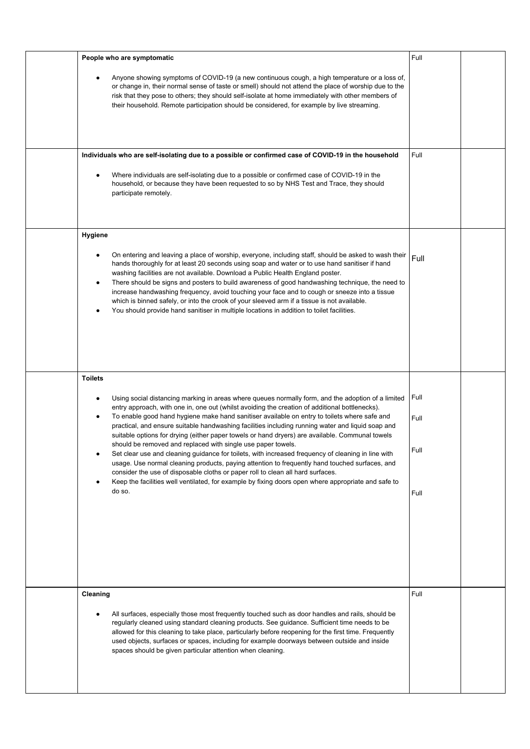| People who are symptomatic                                                                                                                                                                                                                                                                                                                                                                                                                                                                                                                                                                                                                                                                                                                                                                                                                                                                                                                                                               | Full                         |  |
|------------------------------------------------------------------------------------------------------------------------------------------------------------------------------------------------------------------------------------------------------------------------------------------------------------------------------------------------------------------------------------------------------------------------------------------------------------------------------------------------------------------------------------------------------------------------------------------------------------------------------------------------------------------------------------------------------------------------------------------------------------------------------------------------------------------------------------------------------------------------------------------------------------------------------------------------------------------------------------------|------------------------------|--|
| Anyone showing symptoms of COVID-19 (a new continuous cough, a high temperature or a loss of,<br>or change in, their normal sense of taste or smell) should not attend the place of worship due to the<br>risk that they pose to others; they should self-isolate at home immediately with other members of<br>their household. Remote participation should be considered, for example by live streaming.                                                                                                                                                                                                                                                                                                                                                                                                                                                                                                                                                                                |                              |  |
| Individuals who are self-isolating due to a possible or confirmed case of COVID-19 in the household                                                                                                                                                                                                                                                                                                                                                                                                                                                                                                                                                                                                                                                                                                                                                                                                                                                                                      | Full                         |  |
| Where individuals are self-isolating due to a possible or confirmed case of COVID-19 in the<br>household, or because they have been requested to so by NHS Test and Trace, they should<br>participate remotely.                                                                                                                                                                                                                                                                                                                                                                                                                                                                                                                                                                                                                                                                                                                                                                          |                              |  |
| Hygiene                                                                                                                                                                                                                                                                                                                                                                                                                                                                                                                                                                                                                                                                                                                                                                                                                                                                                                                                                                                  |                              |  |
| On entering and leaving a place of worship, everyone, including staff, should be asked to wash their<br>hands thoroughly for at least 20 seconds using soap and water or to use hand sanitiser if hand<br>washing facilities are not available. Download a Public Health England poster.<br>There should be signs and posters to build awareness of good handwashing technique, the need to<br>$\bullet$<br>increase handwashing frequency, avoid touching your face and to cough or sneeze into a tissue<br>which is binned safely, or into the crook of your sleeved arm if a tissue is not available.<br>You should provide hand sanitiser in multiple locations in addition to toilet facilities.                                                                                                                                                                                                                                                                                    | Full                         |  |
| <b>Toilets</b>                                                                                                                                                                                                                                                                                                                                                                                                                                                                                                                                                                                                                                                                                                                                                                                                                                                                                                                                                                           |                              |  |
| Using social distancing marking in areas where queues normally form, and the adoption of a limited<br>entry approach, with one in, one out (whilst avoiding the creation of additional bottlenecks).<br>To enable good hand hygiene make hand sanitiser available on entry to toilets where safe and<br>practical, and ensure suitable handwashing facilities including running water and liquid soap and<br>suitable options for drying (either paper towels or hand dryers) are available. Communal towels<br>should be removed and replaced with single use paper towels.<br>Set clear use and cleaning guidance for toilets, with increased frequency of cleaning in line with<br>usage. Use normal cleaning products, paying attention to frequently hand touched surfaces, and<br>consider the use of disposable cloths or paper roll to clean all hard surfaces.<br>Keep the facilities well ventilated, for example by fixing doors open where appropriate and safe to<br>do so. | Full<br>Full<br>Full<br>Full |  |
| Cleaning                                                                                                                                                                                                                                                                                                                                                                                                                                                                                                                                                                                                                                                                                                                                                                                                                                                                                                                                                                                 | Full                         |  |
| All surfaces, especially those most frequently touched such as door handles and rails, should be<br>regularly cleaned using standard cleaning products. See guidance. Sufficient time needs to be<br>allowed for this cleaning to take place, particularly before reopening for the first time. Frequently<br>used objects, surfaces or spaces, including for example doorways between outside and inside<br>spaces should be given particular attention when cleaning.                                                                                                                                                                                                                                                                                                                                                                                                                                                                                                                  |                              |  |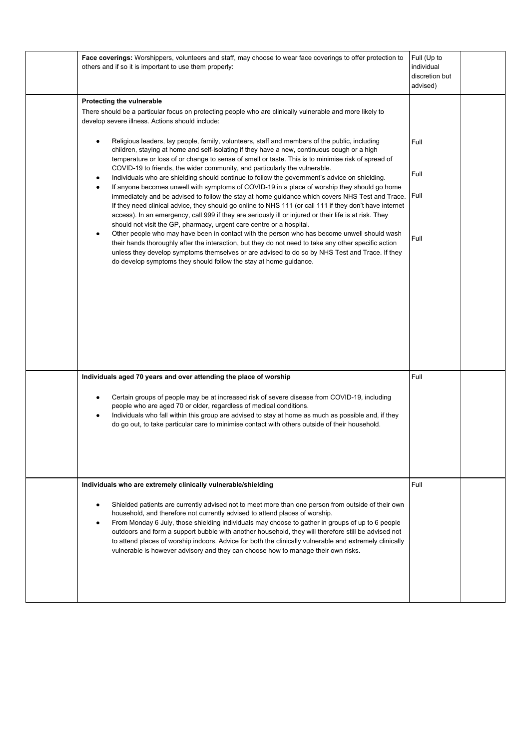| Face coverings: Worshippers, volunteers and staff, may choose to wear face coverings to offer protection to<br>others and if so it is important to use them properly:                                                                                                                                                                                                                                                                                                                                                                                                                                                                                                                                                                                                                                                                                                                                                                                                                                                                                                                                                                                                                                                                                                                                                                                                                                                                                                                                                                                                                           | Full (Up to<br>individual<br>discretion but<br>advised) |  |
|-------------------------------------------------------------------------------------------------------------------------------------------------------------------------------------------------------------------------------------------------------------------------------------------------------------------------------------------------------------------------------------------------------------------------------------------------------------------------------------------------------------------------------------------------------------------------------------------------------------------------------------------------------------------------------------------------------------------------------------------------------------------------------------------------------------------------------------------------------------------------------------------------------------------------------------------------------------------------------------------------------------------------------------------------------------------------------------------------------------------------------------------------------------------------------------------------------------------------------------------------------------------------------------------------------------------------------------------------------------------------------------------------------------------------------------------------------------------------------------------------------------------------------------------------------------------------------------------------|---------------------------------------------------------|--|
| Protecting the vulnerable<br>There should be a particular focus on protecting people who are clinically vulnerable and more likely to<br>develop severe illness. Actions should include:<br>Religious leaders, lay people, family, volunteers, staff and members of the public, including<br>٠<br>children, staying at home and self-isolating if they have a new, continuous cough or a high<br>temperature or loss of or change to sense of smell or taste. This is to minimise risk of spread of<br>COVID-19 to friends, the wider community, and particularly the vulnerable.<br>Individuals who are shielding should continue to follow the government's advice on shielding.<br>٠<br>If anyone becomes unwell with symptoms of COVID-19 in a place of worship they should go home<br>$\bullet$<br>immediately and be advised to follow the stay at home guidance which covers NHS Test and Trace.<br>If they need clinical advice, they should go online to NHS 111 (or call 111 if they don't have internet<br>access). In an emergency, call 999 if they are seriously ill or injured or their life is at risk. They<br>should not visit the GP, pharmacy, urgent care centre or a hospital.<br>Other people who may have been in contact with the person who has become unwell should wash<br>$\bullet$<br>their hands thoroughly after the interaction, but they do not need to take any other specific action<br>unless they develop symptoms themselves or are advised to do so by NHS Test and Trace. If they<br>do develop symptoms they should follow the stay at home guidance. | Full<br>Full<br>Full<br>Full                            |  |
| Individuals aged 70 years and over attending the place of worship<br>Certain groups of people may be at increased risk of severe disease from COVID-19, including<br>٠<br>people who are aged 70 or older, regardless of medical conditions.<br>Individuals who fall within this group are advised to stay at home as much as possible and, if they<br>$\bullet$<br>do go out, to take particular care to minimise contact with others outside of their household.                                                                                                                                                                                                                                                                                                                                                                                                                                                                                                                                                                                                                                                                                                                                                                                                                                                                                                                                                                                                                                                                                                                              | Full                                                    |  |
| Individuals who are extremely clinically vulnerable/shielding<br>Shielded patients are currently advised not to meet more than one person from outside of their own<br>household, and therefore not currently advised to attend places of worship.<br>From Monday 6 July, those shielding individuals may choose to gather in groups of up to 6 people<br>$\bullet$<br>outdoors and form a support bubble with another household, they will therefore still be advised not<br>to attend places of worship indoors. Advice for both the clinically vulnerable and extremely clinically<br>vulnerable is however advisory and they can choose how to manage their own risks.                                                                                                                                                                                                                                                                                                                                                                                                                                                                                                                                                                                                                                                                                                                                                                                                                                                                                                                      | Full                                                    |  |